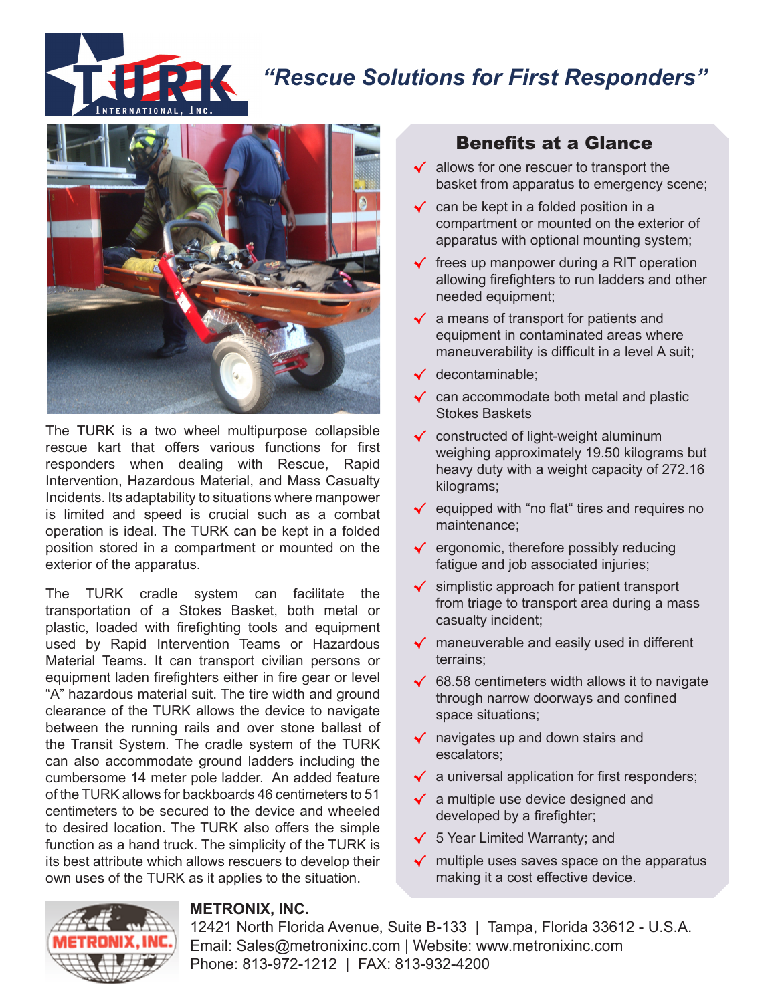

# *"Rescue Solutions for First Responders"*



The TURK is a two wheel multipurpose collapsible rescue kart that offers various functions for first responders when dealing with Rescue, Rapid Intervention, Hazardous Material, and Mass Casualty Incidents. Its adaptability to situations where manpower is limited and speed is crucial such as a combat operation is ideal. The TURK can be kept in a folded position stored in a compartment or mounted on the exterior of the apparatus.

The TURK cradle system can facilitate the transportation of a Stokes Basket, both metal or plastic, loaded with firefighting tools and equipment used by Rapid Intervention Teams or Hazardous Material Teams. It can transport civilian persons or equipment laden firefighters either in fire gear or level "A" hazardous material suit. The tire width and ground clearance of the TURK allows the device to navigate between the running rails and over stone ballast of the Transit System. The cradle system of the TURK can also accommodate ground ladders including the cumbersome 14 meter pole ladder. An added feature of the TURK allows for backboards 46 centimeters to 51 centimeters to be secured to the device and wheeled to desired location. The TURK also offers the simple function as a hand truck. The simplicity of the TURK is its best attribute which allows rescuers to develop their own uses of the TURK as it applies to the situation.

# Benefits at a Glance

- √ allows for one rescuer to transport the basket from apparatus to emergency scene;
- $\checkmark$  can be kept in a folded position in a compartment or mounted on the exterior of apparatus with optional mounting system;
- $\checkmark$  frees up manpower during a RIT operation allowing firefighters to run ladders and other needed equipment;
- √ a means of transport for patients and equipment in contaminated areas where maneuverability is difficult in a level A suit;
- √ decontaminable;
- √ can accommodate both metal and plastic Stokes Baskets
- √ constructed of light-weight aluminum weighing approximately 19.50 kilograms but heavy duty with a weight capacity of 272.16 kilograms;
- √ equipped with "no flat" tires and requires no maintenance;
- √ ergonomic, therefore possibly reducing fatigue and job associated injuries;
- √ simplistic approach for patient transport from triage to transport area during a mass casualty incident;
- √ maneuverable and easily used in different terrains;
- √ 68.58 centimeters width allows it to navigate through narrow doorways and confined space situations;
- √ navigates up and down stairs and escalators;
- √ a universal application for first responders;
- √ a multiple use device designed and developed by a firefighter;
- √ 5 Year Limited Warranty; and
- √ multiple uses saves space on the apparatus making it a cost effective device.



#### **METRONIX, INC.**

12421 North Florida Avenue, Suite B-133 | Tampa, Florida 33612 - U.S.A. Email: Sales@metronixinc.com | Website: www.metronixinc.com Phone: 813-972-1212 | FAX: 813-932-4200